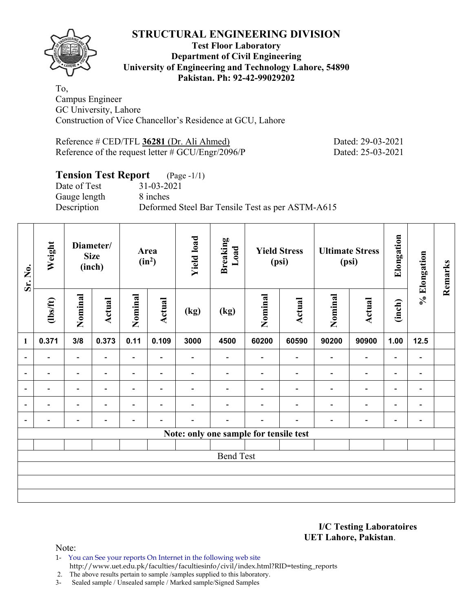

#### **Test Floor Laboratory Department of Civil Engineering University of Engineering and Technology Lahore, 54890 Pakistan. Ph: 92-42-99029202**

To, Campus Engineer GC University, Lahore Construction of Vice Chancellor's Residence at GCU, Lahore

Reference # CED/TFL **36281** (Dr. Ali Ahmed) Dated: 29-03-2021 Reference of the request letter # GCU/Engr/2096/P Dated: 25-03-2021

# **Tension Test Report** (Page -1/1)

Gauge length 8 inches

Date of Test 31-03-2021 Description Deformed Steel Bar Tensile Test as per ASTM-A615

| Sr. No.                  | Weight         |                          | Diameter/<br><b>Size</b><br>(inch) |                          | Area<br>$(in^2)$         | <b>Yield load</b>        | <b>Breaking</b><br>Load                |                          | <b>Yield Stress</b><br>(psi) |                          | <b>Ultimate Stress</b><br>(psi) | Elongation               | % Elongation                 | Remarks |
|--------------------------|----------------|--------------------------|------------------------------------|--------------------------|--------------------------|--------------------------|----------------------------------------|--------------------------|------------------------------|--------------------------|---------------------------------|--------------------------|------------------------------|---------|
|                          | $\frac{2}{10}$ | Nominal                  | Actual                             | Nominal                  | Actual                   | (kg)                     | $\left(\text{kg}\right)$               | Nominal                  | Actual                       | Nominal                  | Actual                          | (inch)                   |                              |         |
| $\mathbf{1}$             | 0.371          | 3/8                      | 0.373                              | 0.11                     | 0.109                    | 3000                     | 4500                                   | 60200                    | 60590                        | 90200                    | 90900                           | 1.00                     | 12.5                         |         |
| $\overline{\phantom{a}}$ | $\overline{a}$ | $\overline{\phantom{a}}$ | $\overline{\phantom{0}}$           | $\overline{\phantom{a}}$ | $\overline{\phantom{0}}$ |                          | $\overline{\phantom{0}}$               | $\overline{\phantom{0}}$ | $\blacksquare$               | $\blacksquare$           | $\overline{\phantom{a}}$        | $\overline{\phantom{a}}$ | $\overline{a}$               |         |
| $\overline{\phantom{a}}$ | $\blacksquare$ | $\overline{\phantom{a}}$ | $\overline{\phantom{0}}$           | $\overline{\phantom{a}}$ | $\blacksquare$           | $\overline{\phantom{0}}$ |                                        | $\blacksquare$           | $\blacksquare$               | $\blacksquare$           | $\overline{\phantom{a}}$        | $\overline{\phantom{a}}$ | $\blacksquare$               |         |
| $\overline{\phantom{a}}$ |                | $\overline{\phantom{0}}$ | $\overline{\phantom{0}}$           | $\overline{\phantom{a}}$ | $\overline{\phantom{a}}$ |                          |                                        |                          |                              | $\overline{\phantom{0}}$ | -                               | $\overline{\phantom{a}}$ | $\qquad \qquad \blacksquare$ |         |
| $\overline{\phantom{a}}$ |                | $\overline{\phantom{0}}$ | ٠                                  | ۰                        | $\overline{\phantom{0}}$ |                          |                                        |                          |                              | $\overline{\phantom{0}}$ | $\overline{\phantom{a}}$        | $\overline{\phantom{a}}$ | $\overline{\phantom{0}}$     |         |
| $\overline{\phantom{a}}$ |                |                          |                                    |                          |                          |                          |                                        |                          |                              |                          | -                               | -                        | $\qquad \qquad \blacksquare$ |         |
|                          |                |                          |                                    |                          |                          |                          | Note: only one sample for tensile test |                          |                              |                          |                                 |                          |                              |         |
|                          |                |                          |                                    |                          |                          |                          |                                        |                          |                              |                          |                                 |                          |                              |         |
|                          |                |                          |                                    |                          |                          |                          | <b>Bend Test</b>                       |                          |                              |                          |                                 |                          |                              |         |
|                          |                |                          |                                    |                          |                          |                          |                                        |                          |                              |                          |                                 |                          |                              |         |
|                          |                |                          |                                    |                          |                          |                          |                                        |                          |                              |                          |                                 |                          |                              |         |
|                          |                |                          |                                    |                          |                          |                          |                                        |                          |                              |                          |                                 |                          |                              |         |

#### **I/C Testing Laboratoires UET Lahore, Pakistan**.

Note:

1- You can See your reports On Internet in the following web site

http://www.uet.edu.pk/faculties/facultiesinfo/civil/index.html?RID=testing\_reports

2. The above results pertain to sample /samples supplied to this laboratory.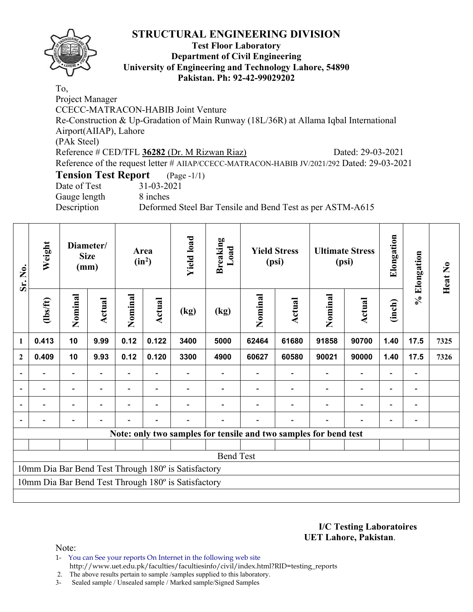

#### **Test Floor Laboratory Department of Civil Engineering University of Engineering and Technology Lahore, 54890 Pakistan. Ph: 92-42-99029202**

To, Project Manager CCECC-MATRACON-HABIB Joint Venture Re-Construction & Up-Gradation of Main Runway (18L/36R) at Allama Iqbal International Airport(AIIAP), Lahore (PAk Steel) Reference # CED/TFL **36282** (Dr. M Rizwan Riaz) Dated: 29-03-2021 Reference of the request letter # AIIAP/CCECC-MATRACON-HABIB JV/2021/292 Dated: 29-03-2021 **Tension Test Report** (Page -1/1) Date of Test 31-03-2021 Gauge length 8 inches Description Deformed Steel Bar Tensile and Bend Test as per ASTM-A615

| Sr. No.                  | Weight  |                | Diameter/<br><b>Size</b><br>(mm) |                | Area<br>$(in^2)$ | <b>Yield load</b>                                   | <b>Breaking</b><br>Load |         | <b>Yield Stress</b><br>(psi)                                     |                          | <b>Ultimate Stress</b><br>(psi) | Elongation     | % Elongation   | Heat No |
|--------------------------|---------|----------------|----------------------------------|----------------|------------------|-----------------------------------------------------|-------------------------|---------|------------------------------------------------------------------|--------------------------|---------------------------------|----------------|----------------|---------|
|                          | $lbsft$ | Nominal        | Actual                           | Nominal        | <b>Actual</b>    | (kg)                                                | (kg)                    | Nominal | Actual                                                           | Nominal                  | Actual                          | (inch)         |                |         |
| $\mathbf{1}$             | 0.413   | 10             | 9.99                             | 0.12           | 0.122            | 3400                                                | 5000                    | 62464   | 61680                                                            | 91858                    | 90700                           | 1.40           | 17.5           | 7325    |
| $\mathbf{2}$             | 0.409   | 10             | 9.93                             | 0.12           | 0.120            | 3300                                                | 4900                    | 60627   | 60580                                                            | 90021                    | 90000                           | 1.40           | 17.5           | 7326    |
|                          |         | $\blacksquare$ | $\qquad \qquad \blacksquare$     | $\blacksquare$ |                  |                                                     |                         |         |                                                                  | $\overline{\phantom{a}}$ | $\blacksquare$                  |                | $\blacksquare$ |         |
|                          |         |                | $\qquad \qquad \blacksquare$     | $\blacksquare$ |                  |                                                     |                         |         |                                                                  |                          |                                 | $\blacksquare$ |                |         |
| $\overline{\phantom{0}}$ |         |                |                                  | $\blacksquare$ |                  |                                                     |                         |         |                                                                  | $\blacksquare$           |                                 | $\blacksquare$ |                |         |
|                          |         |                |                                  |                |                  |                                                     |                         |         |                                                                  |                          |                                 |                |                |         |
|                          |         |                |                                  |                |                  |                                                     |                         |         | Note: only two samples for tensile and two samples for bend test |                          |                                 |                |                |         |
|                          |         |                |                                  |                |                  |                                                     |                         |         |                                                                  |                          |                                 |                |                |         |
|                          |         |                |                                  |                |                  |                                                     | <b>Bend Test</b>        |         |                                                                  |                          |                                 |                |                |         |
|                          |         |                |                                  |                |                  | 10mm Dia Bar Bend Test Through 180° is Satisfactory |                         |         |                                                                  |                          |                                 |                |                |         |
|                          |         |                |                                  |                |                  | 10mm Dia Bar Bend Test Through 180° is Satisfactory |                         |         |                                                                  |                          |                                 |                |                |         |
|                          |         |                |                                  |                |                  |                                                     |                         |         |                                                                  |                          |                                 |                |                |         |

**I/C Testing Laboratoires UET Lahore, Pakistan**.

Note:

1- You can See your reports On Internet in the following web site http://www.uet.edu.pk/faculties/facultiesinfo/civil/index.html?RID=testing\_reports

2. The above results pertain to sample /samples supplied to this laboratory.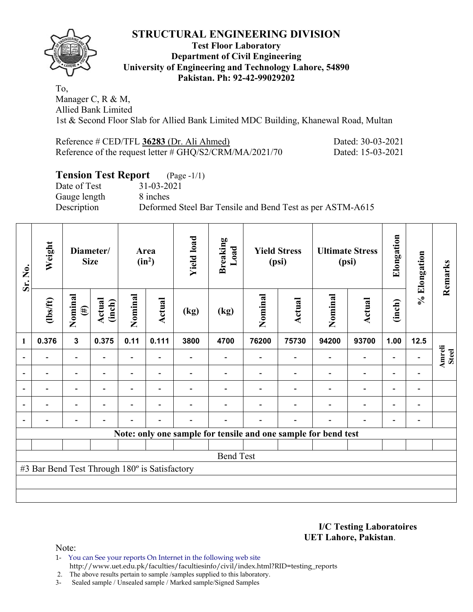

#### **Test Floor Laboratory Department of Civil Engineering University of Engineering and Technology Lahore, 54890 Pakistan. Ph: 92-42-99029202**

To, Manager C, R & M, Allied Bank Limited 1st & Second Floor Slab for Allied Bank Limited MDC Building, Khanewal Road, Multan

| Reference # CED/TFL 36283 (Dr. Ali Ahmed)                  | Dated: 30-03-2021 |
|------------------------------------------------------------|-------------------|
| Reference of the request letter $\#$ GHQ/S2/CRM/MA/2021/70 | Dated: 15-03-2021 |

# **Tension Test Report** (Page -1/1)

Date of Test 31-03-2021 Gauge length 8 inches

Description Deformed Steel Bar Tensile and Bend Test as per ASTM-A615

| Sr. No.        | Weight                                        |                          | Diameter/<br><b>Size</b>                   |                          | Area<br>$(in^2)$ | <b>Yield load</b> | <b>Breaking</b><br>Load  |                              | <b>Yield Stress</b><br>(psi) | (psi)                                                          | <b>Ultimate Stress</b>   | Elongation               | % Elongation             | Remarks                       |
|----------------|-----------------------------------------------|--------------------------|--------------------------------------------|--------------------------|------------------|-------------------|--------------------------|------------------------------|------------------------------|----------------------------------------------------------------|--------------------------|--------------------------|--------------------------|-------------------------------|
|                | $\frac{2}{10}$                                | Nominal<br>$(\#)$        | Actual<br>(inch)                           | Nominal                  | <b>Actual</b>    | (kg)              | (kg)                     | Nominal                      | <b>Actual</b>                | Nominal                                                        | <b>Actual</b>            | (inch)                   |                          |                               |
| 1              | 0.376                                         | $\mathbf{3}$             | 0.375                                      | 0.11                     | 0.111            | 3800              | 4700                     | 76200                        | 75730                        | 94200                                                          | 93700                    | 1.00                     | 12.5                     |                               |
| $\blacksquare$ |                                               | $\overline{\phantom{a}}$ | $\overline{\phantom{a}}$<br>$\overline{a}$ |                          |                  |                   |                          | $\qquad \qquad \blacksquare$ | $\blacksquare$               | $\overline{\phantom{a}}$                                       | $\overline{\phantom{0}}$ | $\overline{\phantom{a}}$ | $\blacksquare$           | <b>Amreli</b><br><b>Steel</b> |
| $\blacksquare$ |                                               | $\blacksquare$           |                                            | $\overline{\phantom{a}}$ | $\blacksquare$   |                   | $\blacksquare$           | $\qquad \qquad \blacksquare$ | $\blacksquare$               | ۰                                                              | $\overline{\phantom{0}}$ |                          | $\blacksquare$           |                               |
| $\blacksquare$ |                                               | $\overline{\phantom{0}}$ |                                            |                          | -                |                   | $\overline{\phantom{0}}$ | -                            |                              | $\overline{\phantom{0}}$                                       | -                        | -                        | $\qquad \qquad$          |                               |
| $\blacksquare$ | $\blacksquare$                                | $\overline{\phantom{a}}$ | $\blacksquare$                             | $\overline{\phantom{a}}$ | $\overline{a}$   | ۰                 | $\overline{\phantom{0}}$ | $\qquad \qquad \blacksquare$ | $\overline{\phantom{0}}$     | $\overline{\phantom{a}}$                                       | $\overline{\phantom{a}}$ | $\overline{a}$           | $\overline{\phantom{a}}$ |                               |
| $\blacksquare$ | -                                             | -                        |                                            |                          | -                |                   | $\overline{\phantom{0}}$ | $\overline{a}$               | $\overline{a}$               | $\overline{\phantom{0}}$                                       | -                        | $\overline{\phantom{a}}$ | $\overline{\phantom{0}}$ |                               |
|                |                                               |                          |                                            |                          |                  |                   |                          |                              |                              | Note: only one sample for tensile and one sample for bend test |                          |                          |                          |                               |
|                |                                               |                          |                                            |                          |                  |                   |                          |                              |                              |                                                                |                          |                          |                          |                               |
|                |                                               |                          |                                            |                          |                  |                   | <b>Bend Test</b>         |                              |                              |                                                                |                          |                          |                          |                               |
|                | #3 Bar Bend Test Through 180° is Satisfactory |                          |                                            |                          |                  |                   |                          |                              |                              |                                                                |                          |                          |                          |                               |
|                |                                               |                          |                                            |                          |                  |                   |                          |                              |                              |                                                                |                          |                          |                          |                               |
|                |                                               |                          |                                            |                          |                  |                   |                          |                              |                              |                                                                |                          |                          |                          |                               |

**I/C Testing Laboratoires UET Lahore, Pakistan**.

Note:

1- You can See your reports On Internet in the following web site http://www.uet.edu.pk/faculties/facultiesinfo/civil/index.html?RID=testing\_reports

2. The above results pertain to sample /samples supplied to this laboratory.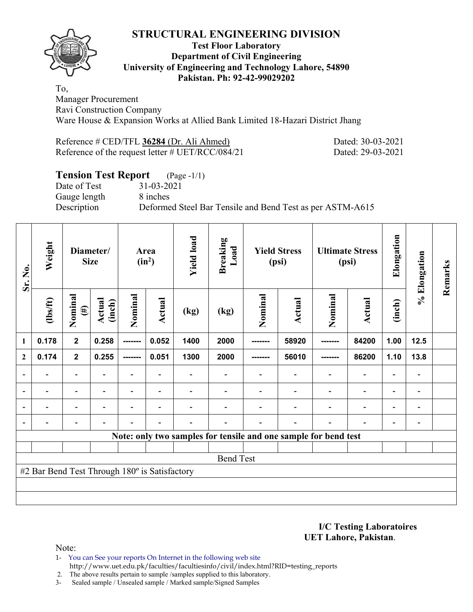

#### **Test Floor Laboratory Department of Civil Engineering University of Engineering and Technology Lahore, 54890 Pakistan. Ph: 92-42-99029202**

To, Manager Procurement Ravi Construction Company Ware House & Expansion Works at Allied Bank Limited 18-Hazari District Jhang

Reference # CED/TFL **36284** (Dr. Ali Ahmed) Dated: 30-03-2021 Reference of the request letter # UET/RCC/084/21 Dated: 29-03-2021

### **Tension Test Report** (Page -1/1)

Date of Test 31-03-2021 Gauge length 8 inches

Description Deformed Steel Bar Tensile and Bend Test as per ASTM-A615

| Sr. No.                  | Weight                                        |                              | Diameter/<br><b>Size</b>     |                              | Area<br>$(in^2)$         | <b>Yield load</b>        | <b>Breaking</b><br>Load                                         |                          | <b>Yield Stress</b><br>(psi) | <b>Ultimate Stress</b>       | (psi)                        | Elongation               | % Elongation             | Remarks |
|--------------------------|-----------------------------------------------|------------------------------|------------------------------|------------------------------|--------------------------|--------------------------|-----------------------------------------------------------------|--------------------------|------------------------------|------------------------------|------------------------------|--------------------------|--------------------------|---------|
|                          | (1bs/ft)                                      | Nominal<br>$(\#)$            | Actual<br>(inch)             | Nominal                      | Actual                   | (kg)                     | (kg)                                                            | Nominal                  | Actual                       | Nominal                      | Actual                       | (inch)                   |                          |         |
| 1                        | 0.178                                         | $\mathbf{2}$                 | 0.258                        | --------                     | 0.052                    | 1400                     | 2000                                                            | -------                  | 58920                        | -------                      | 84200                        | 1.00                     | 12.5                     |         |
| $\mathbf{2}$             | 0.174                                         | $\mathbf{2}$                 | 0.255                        | --------                     | 0.051                    | 1300                     | 2000                                                            | --------                 | 56010                        | -------                      | 86200                        | 1.10                     | 13.8                     |         |
| ۰                        |                                               |                              |                              |                              |                          |                          |                                                                 |                          |                              |                              |                              |                          | $\blacksquare$           |         |
| $\overline{\phantom{a}}$ | $\overline{a}$                                | $\qquad \qquad \blacksquare$ | $\qquad \qquad \blacksquare$ | $\qquad \qquad \blacksquare$ | $\blacksquare$           | $\overline{\phantom{a}}$ | $\blacksquare$                                                  | $\overline{\phantom{a}}$ | $\overline{\phantom{a}}$     | $\qquad \qquad \blacksquare$ | $\qquad \qquad \blacksquare$ | ٠                        | $\overline{\phantom{a}}$ |         |
| $\blacksquare$           | $\overline{\phantom{0}}$                      | $\overline{\phantom{0}}$     | $\overline{\phantom{0}}$     | $\qquad \qquad \blacksquare$ | $\overline{\phantom{0}}$ |                          | $\overline{\phantom{0}}$                                        | $\overline{\phantom{a}}$ | $\overline{\phantom{0}}$     | $\overline{\phantom{0}}$     | $\qquad \qquad \blacksquare$ | $\overline{\phantom{0}}$ | $\blacksquare$           |         |
| $\blacksquare$           |                                               | $\overline{a}$               | $\overline{a}$               | $\overline{a}$               | $\overline{a}$           | $\overline{\phantom{0}}$ | $\overline{a}$                                                  | $\overline{\phantom{0}}$ | $\blacksquare$               | $\blacksquare$               | $\qquad \qquad \blacksquare$ | $\overline{\phantom{a}}$ | $\blacksquare$           |         |
|                          |                                               |                              |                              |                              |                          |                          | Note: only two samples for tensile and one sample for bend test |                          |                              |                              |                              |                          |                          |         |
|                          |                                               |                              |                              |                              |                          |                          |                                                                 |                          |                              |                              |                              |                          |                          |         |
|                          |                                               |                              |                              |                              |                          |                          | <b>Bend Test</b>                                                |                          |                              |                              |                              |                          |                          |         |
|                          | #2 Bar Bend Test Through 180° is Satisfactory |                              |                              |                              |                          |                          |                                                                 |                          |                              |                              |                              |                          |                          |         |
|                          |                                               |                              |                              |                              |                          |                          |                                                                 |                          |                              |                              |                              |                          |                          |         |
|                          |                                               |                              |                              |                              |                          |                          |                                                                 |                          |                              |                              |                              |                          |                          |         |

**I/C Testing Laboratoires UET Lahore, Pakistan**.

Note:

- 1- You can See your reports On Internet in the following web site http://www.uet.edu.pk/faculties/facultiesinfo/civil/index.html?RID=testing\_reports
- 2. The above results pertain to sample /samples supplied to this laboratory.
- 3- Sealed sample / Unsealed sample / Marked sample/Signed Samples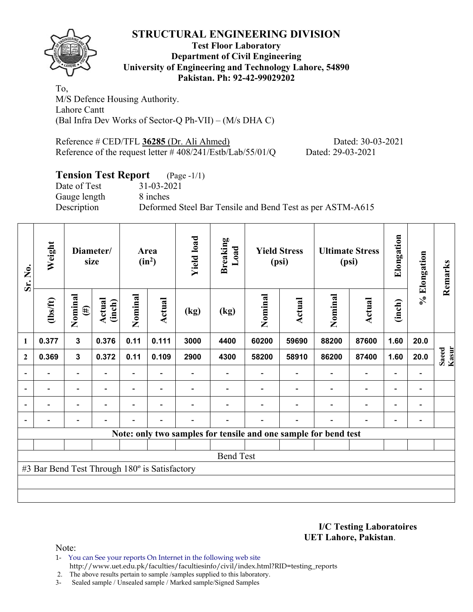

#### **Test Floor Laboratory Department of Civil Engineering University of Engineering and Technology Lahore, 54890 Pakistan. Ph: 92-42-99029202**

To, M/S Defence Housing Authority. Lahore Cantt (Bal Infra Dev Works of Sector-Q Ph-VII) – (M/s DHA C)

Reference # CED/TFL **36285** (Dr. Ali Ahmed) Dated: 30-03-2021 Reference of the request letter # 408/241/Estb/Lab/55/01/Q Dated: 29-03-2021

# **Tension Test Report** (Page -1/1)

Date of Test 31-03-2021 Gauge length 8 inches

Description Deformed Steel Bar Tensile and Bend Test as per ASTM-A615

| Sr. No.                  | Weight                                        |                          | Diameter/<br>size        |                          | Area<br>$(in^2)$         | <b>Yield load</b> | <b>Breaking</b><br>Load |         | <b>Yield Stress</b><br>(psi)                                    |                          | <b>Ultimate Stress</b><br>(psi) | Elongation               | % Elongation                 | Remarks        |
|--------------------------|-----------------------------------------------|--------------------------|--------------------------|--------------------------|--------------------------|-------------------|-------------------------|---------|-----------------------------------------------------------------|--------------------------|---------------------------------|--------------------------|------------------------------|----------------|
|                          | (1bs/ft)                                      | Nominal<br>$(\#)$        | Actual<br>(inch)         | Nominal                  | Actual                   | (kg)              | (kg)                    | Nominal | Actual                                                          | Nominal                  | <b>Actual</b>                   | (inch)                   |                              |                |
| 1                        | 0.377                                         | $\mathbf{3}$             | 0.376                    | 0.11                     | 0.111                    | 3000              | 4400                    | 60200   | 59690                                                           | 88200                    | 87600                           | 1.60                     | 20.0                         |                |
| $\mathbf{2}$             | 0.369                                         | $\mathbf{3}$             | 0.372                    | 0.11                     | 0.109                    | 2900              | 4300                    | 58200   | 58910                                                           | 86200                    | 87400                           | 1.60                     | 20.0                         | Kasur<br>Saeed |
|                          |                                               | $\overline{\phantom{0}}$ |                          |                          |                          |                   |                         |         |                                                                 |                          | $\qquad \qquad \blacksquare$    | $\overline{a}$           |                              |                |
| $\overline{\phantom{0}}$ | $\overline{\phantom{0}}$                      | $\overline{\phantom{a}}$ | $\overline{\phantom{0}}$ | $\overline{\phantom{0}}$ | $\blacksquare$           |                   |                         |         | $\blacksquare$                                                  | $\blacksquare$           | $\overline{a}$                  | $\overline{\phantom{a}}$ | $\overline{\phantom{a}}$     |                |
|                          | $\overline{\phantom{0}}$                      | $\overline{\phantom{0}}$ |                          | $\blacksquare$           | $\overline{\phantom{0}}$ |                   |                         |         |                                                                 | $\overline{\phantom{0}}$ | $\overline{a}$                  | $\overline{\phantom{0}}$ | $\qquad \qquad \blacksquare$ |                |
|                          | $\overline{\phantom{0}}$                      | $\overline{\phantom{a}}$ |                          | $\blacksquare$           | $\blacksquare$           | $\blacksquare$    | $\blacksquare$          |         | $\overline{\phantom{0}}$                                        | $\blacksquare$           | $\overline{a}$                  | $\overline{\phantom{a}}$ | $\qquad \qquad \blacksquare$ |                |
|                          |                                               |                          |                          |                          |                          |                   |                         |         | Note: only two samples for tensile and one sample for bend test |                          |                                 |                          |                              |                |
|                          |                                               |                          |                          |                          |                          |                   |                         |         |                                                                 |                          |                                 |                          |                              |                |
|                          |                                               |                          |                          |                          |                          |                   | <b>Bend Test</b>        |         |                                                                 |                          |                                 |                          |                              |                |
|                          | #3 Bar Bend Test Through 180° is Satisfactory |                          |                          |                          |                          |                   |                         |         |                                                                 |                          |                                 |                          |                              |                |
|                          |                                               |                          |                          |                          |                          |                   |                         |         |                                                                 |                          |                                 |                          |                              |                |
|                          |                                               |                          |                          |                          |                          |                   |                         |         |                                                                 |                          |                                 |                          |                              |                |

**I/C Testing Laboratoires UET Lahore, Pakistan**.

Note:

1- You can See your reports On Internet in the following web site http://www.uet.edu.pk/faculties/facultiesinfo/civil/index.html?RID=testing\_reports

2. The above results pertain to sample /samples supplied to this laboratory.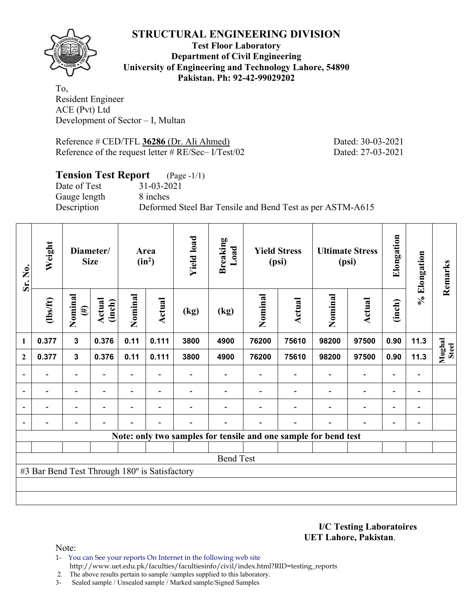

#### **Test Floor Laboratory Department of Civil Engineering University of Engineering and Technology Lahore, 54890 Pakistan. Ph: 92-42-99029202**

To, Resident Engineer ACE (Pvt) Ltd Development of Sector – I, Multan

Reference # CED/TFL **36286** (Dr. Ali Ahmed) Dated: 30-03-2021 Reference of the request letter # RE/Sec– I/Test/02 Dated: 27-03-2021

### **Tension Test Report** (Page -1/1)

Gauge length 8 inches

Date of Test 31-03-2021 Description Deformed Steel Bar Tensile and Bend Test as per ASTM-A615

| Sr. No.        | Weight                                        |                          | Diameter/<br><b>Size</b> |                          | Area<br>$(in^2)$         | <b>Yield load</b>            | <b>Breaking</b><br>Load                                         |                          | <b>Yield Stress</b><br>(psi) |                          | <b>Ultimate Stress</b><br>(psi) | Elongation               | % Elongation             | Remarks         |
|----------------|-----------------------------------------------|--------------------------|--------------------------|--------------------------|--------------------------|------------------------------|-----------------------------------------------------------------|--------------------------|------------------------------|--------------------------|---------------------------------|--------------------------|--------------------------|-----------------|
|                | (1bs/ft)                                      | Nominal<br>$(\#)$        | Actual<br>(inch)         | Nominal                  | <b>Actual</b>            | (kg)                         | (kg)                                                            | Nominal                  | Actual                       | Nominal                  | Actual                          | (inch)                   |                          |                 |
| $\mathbf{1}$   | 0.377                                         | $\mathbf{3}$             | 0.376                    | 0.11                     | 0.111                    | 3800                         | 4900                                                            | 76200                    | 75610                        | 98200                    | 97500                           | 0.90                     | 11.3                     |                 |
| $\mathbf{2}$   | 0.377                                         | $\overline{\mathbf{3}}$  | 0.376                    | 0.11                     | 0.111                    | 3800                         | 4900                                                            | 76200                    | 75610                        | 98200                    | 97500                           | 0.90                     | 11.3                     | Mughal<br>Steel |
|                |                                               | $\overline{\phantom{a}}$ |                          |                          |                          |                              |                                                                 | $\overline{a}$           |                              |                          |                                 |                          | $\overline{\phantom{a}}$ |                 |
| $\blacksquare$ | $\overline{\phantom{0}}$                      | $\overline{\phantom{a}}$ | $\overline{\phantom{0}}$ | $\overline{\phantom{a}}$ | $\overline{\phantom{a}}$ | $\qquad \qquad \blacksquare$ | $\overline{\phantom{0}}$                                        | $\overline{\phantom{a}}$ | $\overline{a}$               | $\overline{\phantom{a}}$ | $\overline{\phantom{0}}$        | $\overline{\phantom{a}}$ | $\overline{\phantom{a}}$ |                 |
| $\blacksquare$ | $\blacksquare$                                | $\blacksquare$           |                          | $\overline{\phantom{a}}$ | $\blacksquare$           |                              | $\blacksquare$                                                  | $\overline{a}$           | $\blacksquare$               | ۰                        | $\blacksquare$                  | $\blacksquare$           | $\blacksquare$           |                 |
| $\blacksquare$ |                                               | $\overline{\phantom{0}}$ | $\overline{\phantom{0}}$ | -                        | -                        |                              | $\overline{\phantom{0}}$                                        | $\overline{a}$           | $\overline{a}$               | $\overline{\phantom{0}}$ | -                               | $\overline{\phantom{a}}$ | $\overline{\phantom{0}}$ |                 |
|                |                                               |                          |                          |                          |                          |                              | Note: only two samples for tensile and one sample for bend test |                          |                              |                          |                                 |                          |                          |                 |
|                |                                               |                          |                          |                          |                          |                              |                                                                 |                          |                              |                          |                                 |                          |                          |                 |
|                |                                               |                          |                          |                          |                          |                              | <b>Bend Test</b>                                                |                          |                              |                          |                                 |                          |                          |                 |
|                | #3 Bar Bend Test Through 180° is Satisfactory |                          |                          |                          |                          |                              |                                                                 |                          |                              |                          |                                 |                          |                          |                 |
|                |                                               |                          |                          |                          |                          |                              |                                                                 |                          |                              |                          |                                 |                          |                          |                 |
|                |                                               |                          |                          |                          |                          |                              |                                                                 |                          |                              |                          |                                 |                          |                          |                 |

**I/C Testing Laboratoires UET Lahore, Pakistan**.

Note:

- 1- You can See your reports On Internet in the following web site http://www.uet.edu.pk/faculties/facultiesinfo/civil/index.html?RID=testing\_reports
- 2. The above results pertain to sample /samples supplied to this laboratory.
- 3- Sealed sample / Unsealed sample / Marked sample/Signed Samples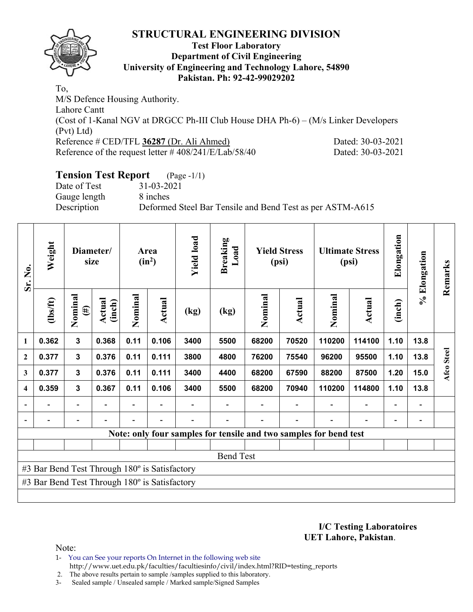

#### **Test Floor Laboratory Department of Civil Engineering University of Engineering and Technology Lahore, 54890 Pakistan. Ph: 92-42-99029202**

To, M/S Defence Housing Authority. Lahore Cantt (Cost of 1-Kanal NGV at DRGCC Ph-III Club House DHA Ph-6) – (M/s Linker Developers (Pvt) Ltd) Reference # CED/TFL **36287** (Dr. Ali Ahmed) Dated: 30-03-2021 Reference of the request letter # 408/241/E/Lab/58/40 Dated: 30-03-2021

# **Tension Test Report** (Page -1/1)

Date of Test 31-03-2021 Gauge length 8 inches

Description Deformed Steel Bar Tensile and Bend Test as per ASTM-A615

| Sr. No.                 | Weight                                        |                          | Diameter/<br>size |         | Area<br>$(in^2)$ | <b>Yield load</b> | <b>Breaking</b><br>Load |         | <b>Yield Stress</b><br>(psi) |                                                                   | <b>Ultimate Stress</b><br>(psi) | Elongation               | % Elongation | Remarks    |
|-------------------------|-----------------------------------------------|--------------------------|-------------------|---------|------------------|-------------------|-------------------------|---------|------------------------------|-------------------------------------------------------------------|---------------------------------|--------------------------|--------------|------------|
|                         | (1bs/ft)                                      | Nominal<br>$(\#)$        | Actual<br>(inch)  | Nominal | Actual           | (kg)              | (kg)                    | Nominal | Actual                       | Nominal                                                           | <b>Actual</b>                   | (inch)                   |              |            |
| 1                       | 0.362                                         | $\overline{\mathbf{3}}$  | 0.368             | 0.11    | 0.106            | 3400              | 5500                    | 68200   | 70520                        | 110200                                                            | 114100                          | 1.10                     | 13.8         |            |
| $\mathbf{2}$            | 0.377                                         | 3                        | 0.376             | 0.11    | 0.111            | 3800              | 4800                    | 76200   | 75540                        | 96200                                                             | 95500                           | 1.10                     | 13.8         | Afco Steel |
| 3                       | 0.377                                         | $\mathbf{3}$             | 0.376             | 0.11    | 0.111            | 3400              | 4400                    | 68200   | 67590                        | 88200                                                             | 87500                           | 1.20                     | 15.0         |            |
| $\overline{\mathbf{4}}$ | 0.359                                         | 3                        | 0.367             | 0.11    | 0.106            | 3400              | 5500                    | 68200   | 70940                        | 110200                                                            | 114800                          | 1.10                     | 13.8         |            |
|                         |                                               | $\overline{\phantom{0}}$ |                   |         |                  |                   |                         |         |                              |                                                                   |                                 | $\overline{\phantom{0}}$ |              |            |
|                         |                                               | $\overline{\phantom{0}}$ |                   |         |                  |                   |                         |         |                              |                                                                   |                                 | ۰                        |              |            |
|                         |                                               |                          |                   |         |                  |                   |                         |         |                              | Note: only four samples for tensile and two samples for bend test |                                 |                          |              |            |
|                         |                                               |                          |                   |         |                  |                   |                         |         |                              |                                                                   |                                 |                          |              |            |
|                         |                                               |                          |                   |         |                  |                   | <b>Bend Test</b>        |         |                              |                                                                   |                                 |                          |              |            |
|                         | #3 Bar Bend Test Through 180° is Satisfactory |                          |                   |         |                  |                   |                         |         |                              |                                                                   |                                 |                          |              |            |
|                         | #3 Bar Bend Test Through 180° is Satisfactory |                          |                   |         |                  |                   |                         |         |                              |                                                                   |                                 |                          |              |            |
|                         |                                               |                          |                   |         |                  |                   |                         |         |                              |                                                                   |                                 |                          |              |            |

#### **I/C Testing Laboratoires UET Lahore, Pakistan**.

Note:

- 1- You can See your reports On Internet in the following web site http://www.uet.edu.pk/faculties/facultiesinfo/civil/index.html?RID=testing\_reports
- 2. The above results pertain to sample /samples supplied to this laboratory.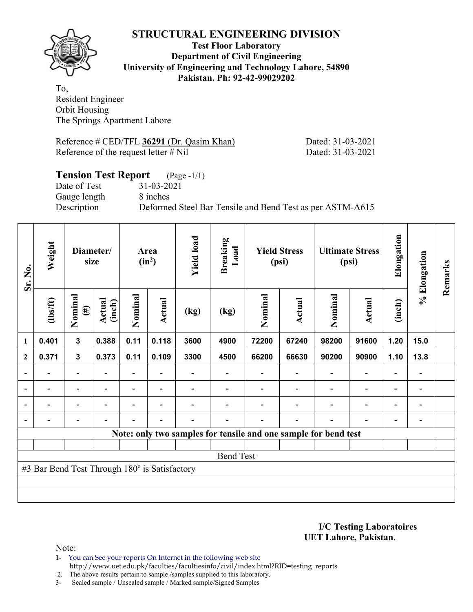

#### **Test Floor Laboratory Department of Civil Engineering University of Engineering and Technology Lahore, 54890 Pakistan. Ph: 92-42-99029202**

To, Resident Engineer Orbit Housing The Springs Apartment Lahore

Reference # CED/TFL **36291** (Dr. Qasim Khan) Dated: 31-03-2021 Reference of the request letter # Nil Dated: 31-03-2021

## **Tension Test Report** (Page -1/1) Date of Test 31-03-2021 Gauge length 8 inches Description Deformed Steel Bar Tensile and Bend Test as per ASTM-A615

| Sr. No.          | Weight                                        |                          | Diameter/<br>size |         | Area<br>$(in^2)$ | <b>Yield load</b> | <b>Breaking</b><br>Load                                         |         | <b>Yield Stress</b><br>(psi) |                | <b>Ultimate Stress</b><br>(psi) | Elongation               | % Elongation                 | Remarks |
|------------------|-----------------------------------------------|--------------------------|-------------------|---------|------------------|-------------------|-----------------------------------------------------------------|---------|------------------------------|----------------|---------------------------------|--------------------------|------------------------------|---------|
|                  | (1bs/ft)                                      | Nominal<br>$(\#)$        | Actual<br>(inch)  | Nominal | Actual           | (kg)              | (kg)                                                            | Nominal | Actual                       | Nominal        | <b>Actual</b>                   | (inch)                   |                              |         |
| $\mathbf{1}$     | 0.401                                         | $\mathbf{3}$             | 0.388             | 0.11    | 0.118            | 3600              | 4900                                                            | 72200   | 67240                        | 98200          | 91600                           | 1.20                     | 15.0                         |         |
| $\boldsymbol{2}$ | 0.371                                         | $\mathbf{3}$             | 0.373             | 0.11    | 0.109            | 3300              | 4500                                                            | 66200   | 66630                        | 90200          | 90900                           | 1.10                     | 13.8                         |         |
|                  |                                               | $\overline{a}$           |                   |         |                  |                   |                                                                 |         |                              |                | $\overline{a}$                  | $\overline{\phantom{a}}$ |                              |         |
| $\blacksquare$   | $\blacksquare$                                | $\overline{\phantom{a}}$ |                   |         | $\blacksquare$   |                   |                                                                 |         |                              |                | $\overline{\phantom{0}}$        | $\overline{\phantom{0}}$ | $\blacksquare$               |         |
| $\blacksquare$   | -                                             | Ξ.                       |                   |         |                  |                   |                                                                 |         |                              | ۰              | $\overline{a}$                  | $\overline{\phantom{0}}$ | $\overline{\phantom{0}}$     |         |
|                  |                                               | $\overline{a}$           |                   |         | $\blacksquare$   |                   |                                                                 |         |                              | $\blacksquare$ | $\overline{a}$                  | -                        | $\qquad \qquad \blacksquare$ |         |
|                  |                                               |                          |                   |         |                  |                   | Note: only two samples for tensile and one sample for bend test |         |                              |                |                                 |                          |                              |         |
|                  |                                               |                          |                   |         |                  |                   |                                                                 |         |                              |                |                                 |                          |                              |         |
|                  |                                               |                          |                   |         |                  |                   | <b>Bend Test</b>                                                |         |                              |                |                                 |                          |                              |         |
|                  | #3 Bar Bend Test Through 180° is Satisfactory |                          |                   |         |                  |                   |                                                                 |         |                              |                |                                 |                          |                              |         |
|                  |                                               |                          |                   |         |                  |                   |                                                                 |         |                              |                |                                 |                          |                              |         |
|                  |                                               |                          |                   |         |                  |                   |                                                                 |         |                              |                |                                 |                          |                              |         |

**I/C Testing Laboratoires UET Lahore, Pakistan**.

Note:

1- You can See your reports On Internet in the following web site http://www.uet.edu.pk/faculties/facultiesinfo/civil/index.html?RID=testing\_reports

2. The above results pertain to sample /samples supplied to this laboratory.